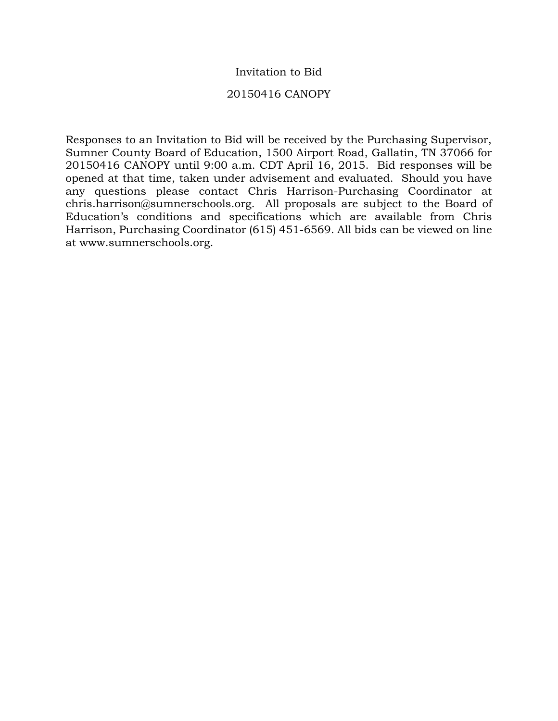## Invitation to Bid

### 20150416 CANOPY

Responses to an Invitation to Bid will be received by the Purchasing Supervisor, Sumner County Board of Education, 1500 Airport Road, Gallatin, TN 37066 for 20150416 CANOPY until 9:00 a.m. CDT April 16, 2015. Bid responses will be opened at that time, taken under advisement and evaluated. Should you have any questions please contact Chris Harrison-Purchasing Coordinator at chris.harrison@sumnerschools.org. All proposals are subject to the Board of Education's conditions and specifications which are available from Chris Harrison, Purchasing Coordinator (615) 451-6569. All bids can be viewed on line at www.sumnerschools.org.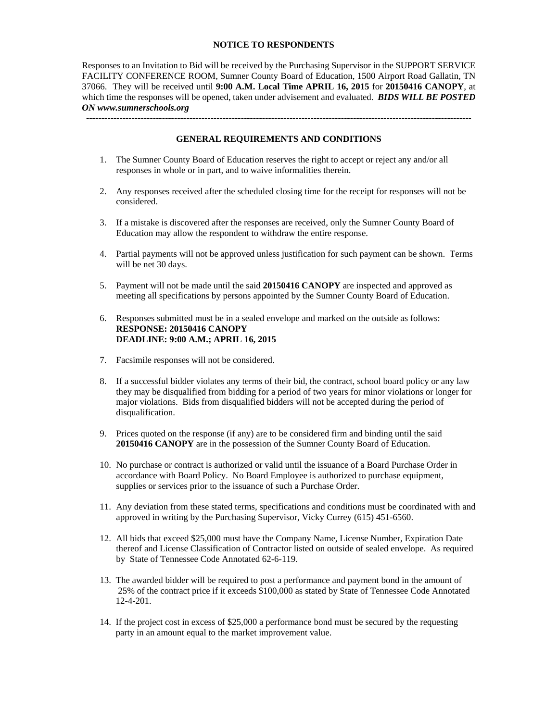#### **NOTICE TO RESPONDENTS**

Responses to an Invitation to Bid will be received by the Purchasing Supervisor in the SUPPORT SERVICE FACILITY CONFERENCE ROOM, Sumner County Board of Education, 1500 Airport Road Gallatin, TN 37066. They will be received until **9:00 A.M. Local Time APRIL 16, 2015** for **20150416 CANOPY**, at which time the responses will be opened, taken under advisement and evaluated. *BIDS WILL BE POSTED ON www.sumnerschools.org* 

**GENERAL REQUIREMENTS AND CONDITIONS** 

-------------------------------------------------------------------------------------------------------------------------------

- 1. The Sumner County Board of Education reserves the right to accept or reject any and/or all responses in whole or in part, and to waive informalities therein.
- 2. Any responses received after the scheduled closing time for the receipt for responses will not be considered.
- 3. If a mistake is discovered after the responses are received, only the Sumner County Board of Education may allow the respondent to withdraw the entire response.
- 4. Partial payments will not be approved unless justification for such payment can be shown. Terms will be net 30 days.
- 5. Payment will not be made until the said **20150416 CANOPY** are inspected and approved as meeting all specifications by persons appointed by the Sumner County Board of Education.
- 6. Responses submitted must be in a sealed envelope and marked on the outside as follows: **RESPONSE: 20150416 CANOPY DEADLINE: 9:00 A.M.; APRIL 16, 2015**
- 7. Facsimile responses will not be considered.
- 8. If a successful bidder violates any terms of their bid, the contract, school board policy or any law they may be disqualified from bidding for a period of two years for minor violations or longer for major violations. Bids from disqualified bidders will not be accepted during the period of disqualification.
- 9. Prices quoted on the response (if any) are to be considered firm and binding until the said **20150416 CANOPY** are in the possession of the Sumner County Board of Education.
- 10. No purchase or contract is authorized or valid until the issuance of a Board Purchase Order in accordance with Board Policy. No Board Employee is authorized to purchase equipment, supplies or services prior to the issuance of such a Purchase Order.
- 11. Any deviation from these stated terms, specifications and conditions must be coordinated with and approved in writing by the Purchasing Supervisor, Vicky Currey (615) 451-6560.
- 12. All bids that exceed \$25,000 must have the Company Name, License Number, Expiration Date thereof and License Classification of Contractor listed on outside of sealed envelope. As required by State of Tennessee Code Annotated 62-6-119.
- 13. The awarded bidder will be required to post a performance and payment bond in the amount of 25% of the contract price if it exceeds \$100,000 as stated by State of Tennessee Code Annotated 12-4-201.
- 14. If the project cost in excess of \$25,000 a performance bond must be secured by the requesting party in an amount equal to the market improvement value.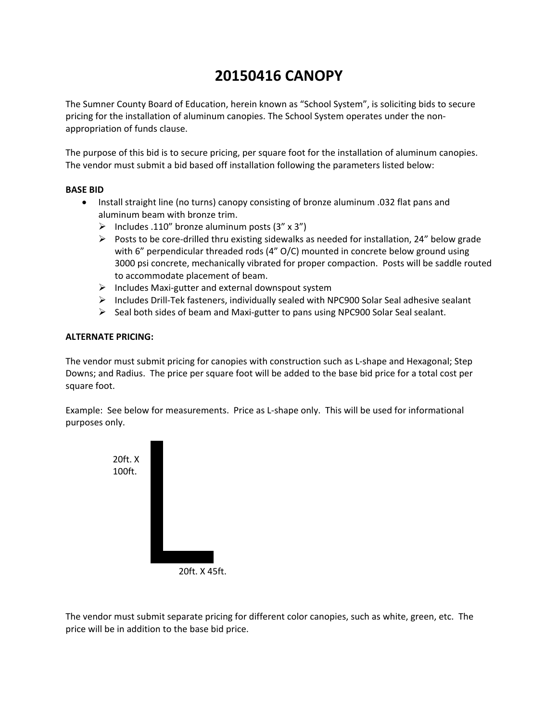# **20150416 CANOPY**

The Sumner County Board of Education, herein known as "School System", is soliciting bids to secure pricing for the installation of aluminum canopies. The School System operates under the non‐ appropriation of funds clause.

The purpose of this bid is to secure pricing, per square foot for the installation of aluminum canopies. The vendor must submit a bid based off installation following the parameters listed below:

#### **BASE BID**

- Install straight line (no turns) canopy consisting of bronze aluminum .032 flat pans and aluminum beam with bronze trim.
	- $\triangleright$  Includes .110" bronze aluminum posts (3" x 3")
	- $▶$  Posts to be core-drilled thru existing sidewalks as needed for installation, 24" below grade with 6" perpendicular threaded rods (4" O/C) mounted in concrete below ground using 3000 psi concrete, mechanically vibrated for proper compaction. Posts will be saddle routed to accommodate placement of beam.
	- Includes Maxi‐gutter and external downspout system
	- Includes Drill‐Tek fasteners, individually sealed with NPC900 Solar Seal adhesive sealant
	- $\triangleright$  Seal both sides of beam and Maxi-gutter to pans using NPC900 Solar Seal sealant.

#### **ALTERNATE PRICING:**

The vendor must submit pricing for canopies with construction such as L‐shape and Hexagonal; Step Downs; and Radius. The price per square foot will be added to the base bid price for a total cost per square foot.

Example: See below for measurements. Price as L‐shape only. This will be used for informational purposes only.



20ft. X 45ft.

The vendor must submit separate pricing for different color canopies, such as white, green, etc. The price will be in addition to the base bid price.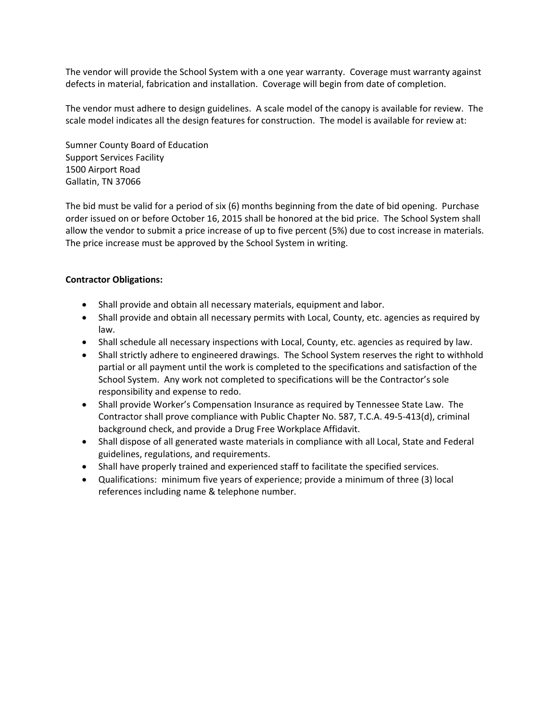The vendor will provide the School System with a one year warranty. Coverage must warranty against defects in material, fabrication and installation. Coverage will begin from date of completion.

The vendor must adhere to design guidelines. A scale model of the canopy is available for review. The scale model indicates all the design features for construction. The model is available for review at:

Sumner County Board of Education Support Services Facility 1500 Airport Road Gallatin, TN 37066

The bid must be valid for a period of six (6) months beginning from the date of bid opening. Purchase order issued on or before October 16, 2015 shall be honored at the bid price. The School System shall allow the vendor to submit a price increase of up to five percent (5%) due to cost increase in materials. The price increase must be approved by the School System in writing.

#### **Contractor Obligations:**

- Shall provide and obtain all necessary materials, equipment and labor.
- Shall provide and obtain all necessary permits with Local, County, etc. agencies as required by law.
- Shall schedule all necessary inspections with Local, County, etc. agencies as required by law.
- Shall strictly adhere to engineered drawings. The School System reserves the right to withhold partial or all payment until the work is completed to the specifications and satisfaction of the School System. Any work not completed to specifications will be the Contractor's sole responsibility and expense to redo.
- Shall provide Worker's Compensation Insurance as required by Tennessee State Law. The Contractor shall prove compliance with Public Chapter No. 587, T.C.A. 49‐5‐413(d), criminal background check, and provide a Drug Free Workplace Affidavit.
- Shall dispose of all generated waste materials in compliance with all Local, State and Federal guidelines, regulations, and requirements.
- Shall have properly trained and experienced staff to facilitate the specified services.
- Qualifications: minimum five years of experience; provide a minimum of three (3) local references including name & telephone number.